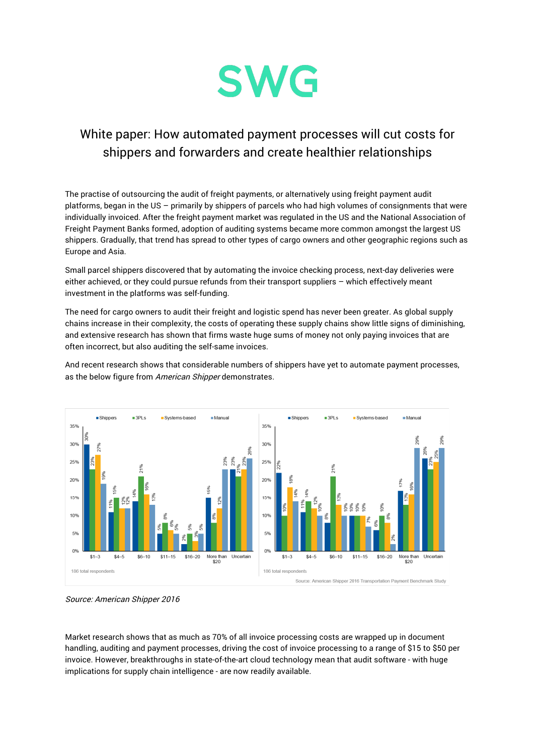

## White paper: How automated payment processes will cut costs for shippers and forwarders and create healthier relationships

The practise of outsourcing the audit of freight payments, or alternatively using freight payment audit platforms, began in the US – primarily by shippers of parcels who had high volumes of consignments that were individually invoiced. After the freight payment market was regulated in the US and the National Association of Freight Payment Banks formed, adoption of auditing systems became more common amongst the largest US shippers. Gradually, that trend has spread to other types of cargo owners and other geographic regions such as Europe and Asia.

Small parcel shippers discovered that by automating the invoice checking process, next-day deliveries were either achieved, or they could pursue refunds from their transport suppliers – which effectively meant investment in the platforms was self-funding.

The need for cargo owners to audit their freight and logistic spend has never been greater. As global supply chains increase in their complexity, the costs of operating these supply chains show little signs of diminishing, and extensive research has shown that firms waste huge sums of money not only paying invoices that are often incorrect, but also auditing the self-same invoices.

And recent research shows that considerable numbers of shippers have yet to automate payment processes, as the below figure from American Shipper demonstrates.



Source: American Shipper 2016

Market research shows that as much as 70% of all invoice processing costs are wrapped up in document handling, auditing and payment processes, driving the cost of invoice processing to a range of \$15 to \$50 per invoice. However, breakthroughs in state-of-the-art cloud technology mean that audit software - with huge implications for supply chain intelligence - are now readily available.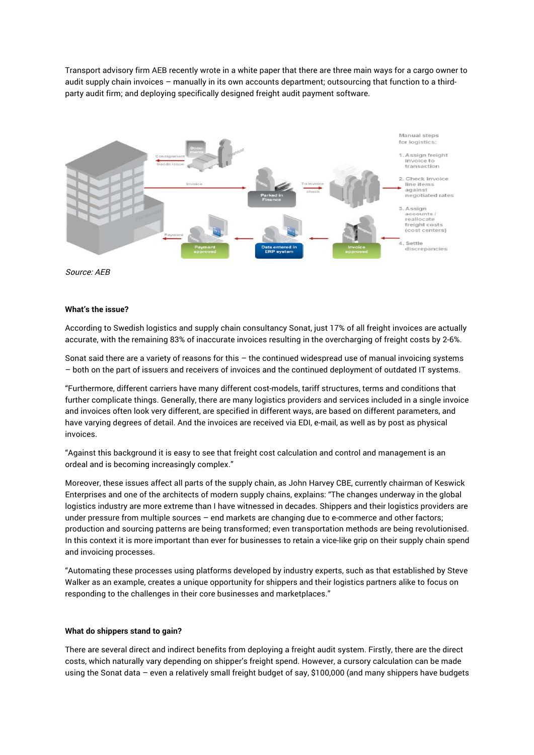Transport advisory firm AEB recently wrote in a white paper that there are three main ways for a cargo owner to audit supply chain invoices – manually in its own accounts department; outsourcing that function to a thirdparty audit firm; and deploying specifically designed freight audit payment software.



Source: AEB

## **What's the issue?**

According to Swedish logistics and supply chain consultancy Sonat, just 17% of all freight invoices are actually accurate, with the remaining 83% of inaccurate invoices resulting in the overcharging of freight costs by 2-6%.

Sonat said there are a variety of reasons for this – the continued widespread use of manual invoicing systems – both on the part of issuers and receivers of invoices and the continued deployment of outdated IT systems.

"Furthermore, different carriers have many different cost-models, tariff structures, terms and conditions that further complicate things. Generally, there are many logistics providers and services included in a single invoice and invoices often look very different, are specified in different ways, are based on different parameters, and have varying degrees of detail. And the invoices are received via EDI, e-mail, as well as by post as physical invoices.

"Against this background it is easy to see that freight cost calculation and control and management is an ordeal and is becoming increasingly complex."

Moreover, these issues affect all parts of the supply chain, as John Harvey CBE, currently chairman of Keswick Enterprises and one of the architects of modern supply chains, explains: "The changes underway in the global logistics industry are more extreme than I have witnessed in decades. Shippers and their logistics providers are under pressure from multiple sources - end markets are changing due to e-commerce and other factors; production and sourcing patterns are being transformed; even transportation methods are being revolutionised. In this context it is more important than ever for businesses to retain a vice-like grip on their supply chain spend and invoicing processes.

"Automating these processes using platforms developed by industry experts, such as that established by Steve Walker as an example, creates a unique opportunity for shippers and their logistics partners alike to focus on responding to the challenges in their core businesses and marketplaces."

## **What do shippers stand to gain?**

There are several direct and indirect benefits from deploying a freight audit system. Firstly, there are the direct costs, which naturally vary depending on shipper's freight spend. However, a cursory calculation can be made using the Sonat data – even a relatively small freight budget of say, \$100,000 (and many shippers have budgets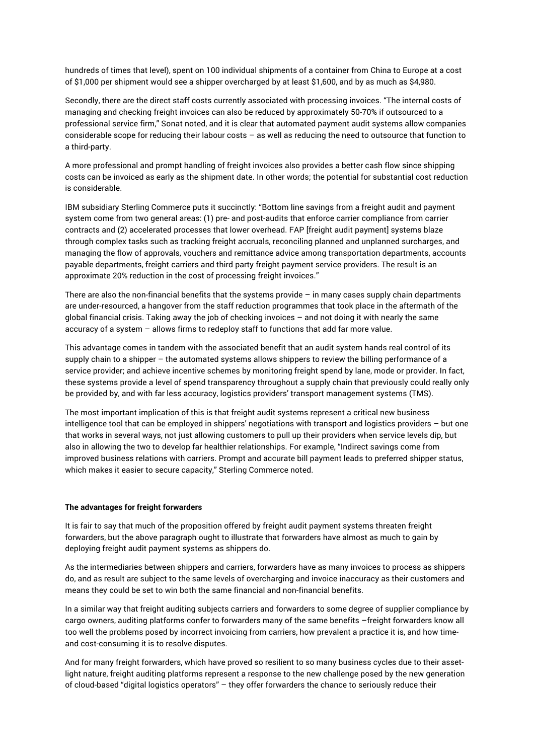hundreds of times that level), spent on 100 individual shipments of a container from China to Europe at a cost of \$1,000 per shipment would see a shipper overcharged by at least \$1,600, and by as much as \$4,980.

Secondly, there are the direct staff costs currently associated with processing invoices. "The internal costs of managing and checking freight invoices can also be reduced by approximately 50-70% if outsourced to a professional service firm," Sonat noted, and it is clear that automated payment audit systems allow companies considerable scope for reducing their labour costs – as well as reducing the need to outsource that function to a third-party.

A more professional and prompt handling of freight invoices also provides a better cash flow since shipping costs can be invoiced as early as the shipment date. In other words; the potential for substantial cost reduction is considerable.

IBM subsidiary Sterling Commerce puts it succinctly: "Bottom line savings from a freight audit and payment system come from two general areas: (1) pre- and post-audits that enforce carrier compliance from carrier contracts and (2) accelerated processes that lower overhead. FAP [freight audit payment] systems blaze through complex tasks such as tracking freight accruals, reconciling planned and unplanned surcharges, and managing the flow of approvals, vouchers and remittance advice among transportation departments, accounts payable departments, freight carriers and third party freight payment service providers. The result is an approximate 20% reduction in the cost of processing freight invoices."

There are also the non-financial benefits that the systems provide  $-$  in many cases supply chain departments are under-resourced, a hangover from the staff reduction programmes that took place in the aftermath of the global financial crisis. Taking away the job of checking invoices – and not doing it with nearly the same accuracy of a system – allows firms to redeploy staff to functions that add far more value.

This advantage comes in tandem with the associated benefit that an audit system hands real control of its supply chain to a shipper – the automated systems allows shippers to review the billing performance of a service provider; and achieve incentive schemes by monitoring freight spend by lane, mode or provider. In fact, these systems provide a level of spend transparency throughout a supply chain that previously could really only be provided by, and with far less accuracy, logistics providers' transport management systems (TMS).

The most important implication of this is that freight audit systems represent a critical new business intelligence tool that can be employed in shippers' negotiations with transport and logistics providers – but one that works in several ways, not just allowing customers to pull up their providers when service levels dip, but also in allowing the two to develop far healthier relationships. For example, "Indirect savings come from improved business relations with carriers. Prompt and accurate bill payment leads to preferred shipper status, which makes it easier to secure capacity," Sterling Commerce noted.

## **The advantages for freight forwarders**

It is fair to say that much of the proposition offered by freight audit payment systems threaten freight forwarders, but the above paragraph ought to illustrate that forwarders have almost as much to gain by deploying freight audit payment systems as shippers do.

As the intermediaries between shippers and carriers, forwarders have as many invoices to process as shippers do, and as result are subject to the same levels of overcharging and invoice inaccuracy as their customers and means they could be set to win both the same financial and non-financial benefits.

In a similar way that freight auditing subjects carriers and forwarders to some degree of supplier compliance by cargo owners, auditing platforms confer to forwarders many of the same benefits –freight forwarders know all too well the problems posed by incorrect invoicing from carriers, how prevalent a practice it is, and how timeand cost-consuming it is to resolve disputes.

And for many freight forwarders, which have proved so resilient to so many business cycles due to their assetlight nature, freight auditing platforms represent a response to the new challenge posed by the new generation of cloud-based "digital logistics operators" – they offer forwarders the chance to seriously reduce their